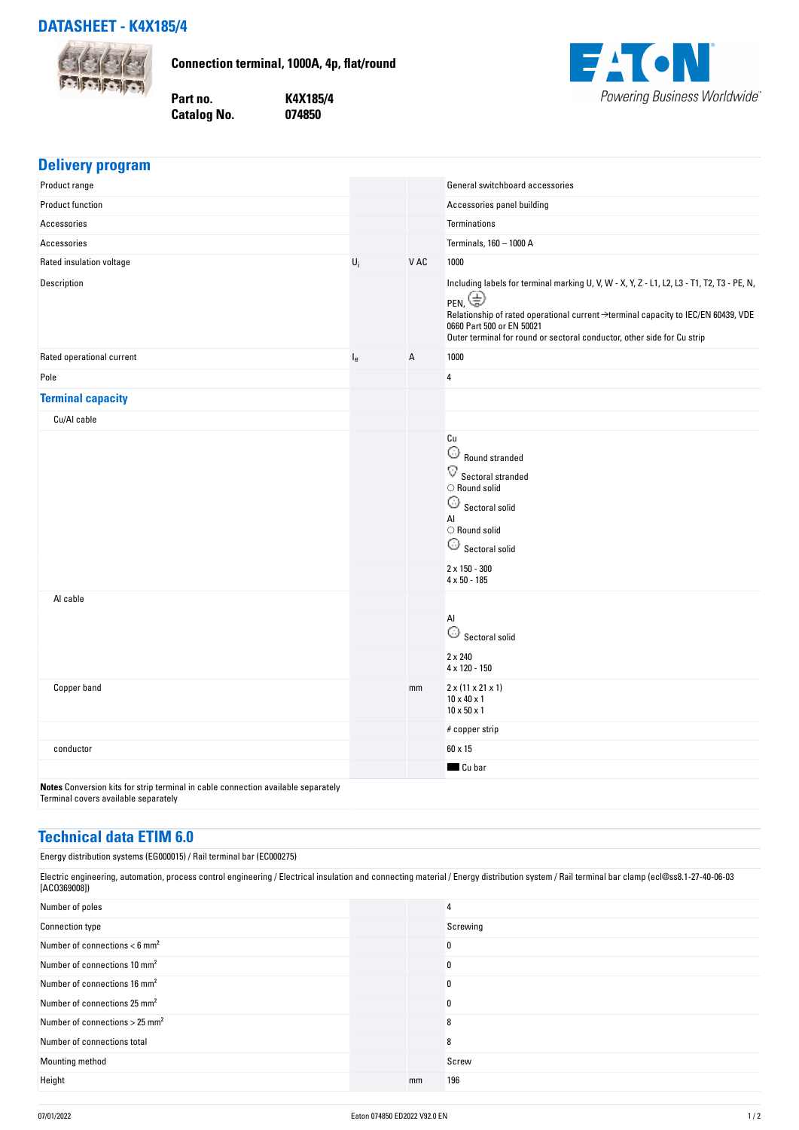## **DATASHEET - K4X185/4**



**Delivery program**

**Connection terminal, 1000A, 4p, flat/round**

**Part no. K4X185/4 Catalog No.** 



| <b>Delivery program</b>                                                                                                   |         |      |                                                                                                                                                                                                                                                                                                                     |
|---------------------------------------------------------------------------------------------------------------------------|---------|------|---------------------------------------------------------------------------------------------------------------------------------------------------------------------------------------------------------------------------------------------------------------------------------------------------------------------|
| Product range                                                                                                             |         |      | General switchboard accessories                                                                                                                                                                                                                                                                                     |
| <b>Product function</b>                                                                                                   |         |      | Accessories panel building                                                                                                                                                                                                                                                                                          |
| Accessories                                                                                                               |         |      | <b>Terminations</b>                                                                                                                                                                                                                                                                                                 |
| Accessories                                                                                                               |         |      | Terminals, 160 - 1000 A                                                                                                                                                                                                                                                                                             |
| Rated insulation voltage                                                                                                  | $U_i$   | V AC | 1000                                                                                                                                                                                                                                                                                                                |
| Description                                                                                                               |         |      | Including labels for terminal marking U, V, W - X, Y, Z - L1, L2, L3 - T1, T2, T3 - PE, N,<br>$_{\sf PEN}$ $\bigoplus$<br>Relationship of rated operational current →terminal capacity to IEC/EN 60439, VDE<br>0660 Part 500 or EN 50021<br>Outer terminal for round or sectoral conductor, other side for Cu strip |
| Rated operational current                                                                                                 | $I_{e}$ | Α    | 1000                                                                                                                                                                                                                                                                                                                |
| Pole                                                                                                                      |         |      | 4                                                                                                                                                                                                                                                                                                                   |
| <b>Terminal capacity</b>                                                                                                  |         |      |                                                                                                                                                                                                                                                                                                                     |
| Cu/Al cable                                                                                                               |         |      |                                                                                                                                                                                                                                                                                                                     |
|                                                                                                                           |         |      | Cu<br>$\widehat{\omega}$ Round stranded<br>$\mathbf{\nabla}$ Sectoral stranded<br>$\bigcirc$ Round solid<br>$\widehat{\omega}$ Sectoral solid<br>Al<br>$\bigcirc$ Round solid<br>$\bigcirc$ Sectoral solid                                                                                                          |
|                                                                                                                           |         |      | $2 \times 150 - 300$<br>$4 \times 50 - 185$                                                                                                                                                                                                                                                                         |
| Al cable                                                                                                                  |         |      |                                                                                                                                                                                                                                                                                                                     |
|                                                                                                                           |         |      | Al<br>$\bigcirc$ Sectoral solid                                                                                                                                                                                                                                                                                     |
|                                                                                                                           |         |      | $2 \times 240$<br>4 x 120 - 150                                                                                                                                                                                                                                                                                     |
| Copper band                                                                                                               |         | mm   | $2 \times (11 \times 21 \times 1)$<br>$10 \times 40 \times 1$<br>$10 \times 50 \times 1$                                                                                                                                                                                                                            |
|                                                                                                                           |         |      | # copper strip                                                                                                                                                                                                                                                                                                      |
| conductor                                                                                                                 |         |      | 60 x 15                                                                                                                                                                                                                                                                                                             |
|                                                                                                                           |         |      | Cu bar                                                                                                                                                                                                                                                                                                              |
| Notes Conversion kits for strip terminal in cable connection available separately<br>Terminal covers available separately |         |      |                                                                                                                                                                                                                                                                                                                     |

## **Technical data ETIM 6.0**

Energy distribution systems (EG000015) / Rail terminal bar (EC000275)

Electric engineering, automation, process control engineering / Electrical insulation and connecting material / Energy distribution system / Rail terminal bar clamp (ecl@ss8.1-27-40-06-03 [ACO369008]) Number of poles 4 Connection type Screwing Screwing Screwing Screwing Screwing Screwing Screwing Screwing Screwing Screwing Screwing Screwing Screwing Screwing Screwing Screwing Screwing Screwing Screwing Screwing Screwing Screwing Screwing Number of connections < 6 mm<sup>2</sup> 0 Number of connections 10 mm<sup>2</sup> and 2 mm<sup>2</sup> and 2 mm<sup>2</sup> and 2 mm<sup>2</sup> and 2 mm<sup>2</sup> and 2 mm<sup>2</sup> and 2 mm<sup>2</sup> and 2 mm<sup>2</sup> and 2 mm<sup>2</sup> and 2 mm<sup>2</sup> and 2 mm<sup>2</sup> and 2 mm<sup>2</sup> and 2 mm<sup>2</sup> and 2 mm<sup>2</sup> and 2 mm<sup>2</sup> and 2 mm<sup>2</sup> and 2 mm<sup>2</sup> Number of connections 16 mm<sup>2</sup> 0 Number of connections 25 mm<sup>2</sup> 0 Number of connections > 25 mm<sup>2</sup> 8 Number of connections total 8 Mounting method Screw Screw Screw Screw Screw Screw Screw Screw Screw Screw Screw Screw Screw Screw Screw Screw Height mm 196